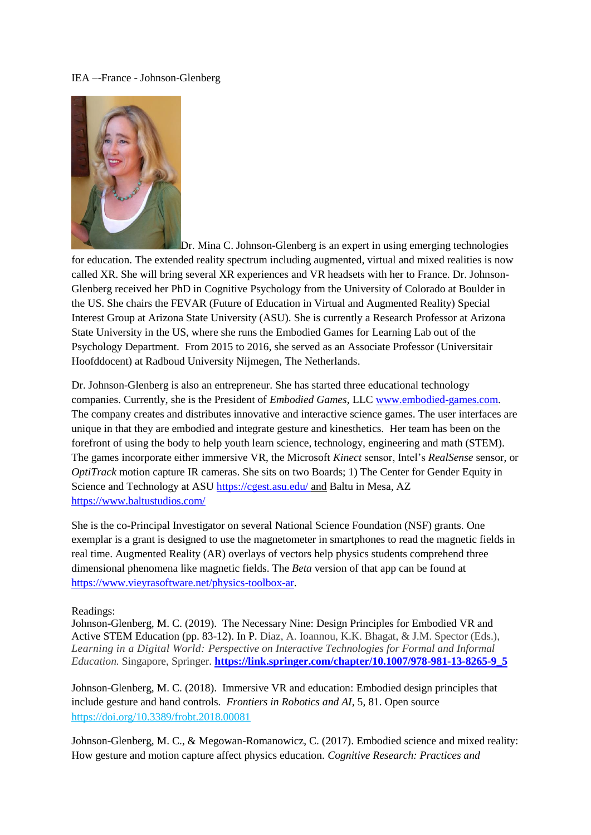## IEA –-France - Johnson-Glenberg



Dr. Mina C. Johnson-Glenberg is an expert in using emerging technologies

for education. The extended reality spectrum including augmented, virtual and mixed realities is now called XR. She will bring several XR experiences and VR headsets with her to France. Dr. Johnson-Glenberg received her PhD in Cognitive Psychology from the University of Colorado at Boulder in the US. She chairs the FEVAR (Future of Education in Virtual and Augmented Reality) Special Interest Group at Arizona State University (ASU). She is currently a Research Professor at Arizona State University in the US, where she runs the Embodied Games for Learning Lab out of the Psychology Department. From 2015 to 2016, she served as an Associate Professor (Universitair Hoofddocent) at Radboud University Nijmegen, The Netherlands.

Dr. Johnson-Glenberg is also an entrepreneur. She has started three educational technology companies. Currently, she is the President of *Embodied Games*, LLC [www.embodied-games.com.](http://www.embodied-games.com/) The company creates and distributes innovative and interactive science games. The user interfaces are unique in that they are embodied and integrate gesture and kinesthetics. Her team has been on the forefront of using the body to help youth learn science, technology, engineering and math (STEM). The games incorporate either immersive VR, the Microsoft *Kinect* sensor, Intel's *RealSense* sensor, or *OptiTrack* motion capture IR cameras. She sits on two Boards; 1) The Center for Gender Equity in Science and Technology at ASU<https://cgest.asu.edu/> and Baltu in Mesa, AZ <https://www.baltustudios.com/>

She is the co-Principal Investigator on several National Science Foundation (NSF) grants. One exemplar is a grant is designed to use the magnetometer in smartphones to read the magnetic fields in real time. Augmented Reality (AR) overlays of vectors help physics students comprehend three dimensional phenomena like magnetic fields. The *Beta* version of that app can be found at [https://www.vieyrasoftware.net/physics-toolbox-ar.](https://www.vieyrasoftware.net/physics-toolbox-ar)

## Readings:

Johnson-Glenberg, M. C. (2019). The Necessary Nine: Design Principles for Embodied VR and Active STEM Education (pp. 83-12). In P. Diaz, A. Ioannou, K.K. Bhagat, & J.M. Spector (Eds.), *Learning in a Digital World: Perspective on Interactive Technologies for Formal and Informal Education.* Singapore, Springer. **[https://link.springer.com/chapter/10.1007/978-981-13-8265-9\\_5](https://link.springer.com/chapter/10.1007/978-981-13-8265-9_5)**

Johnson-Glenberg, M. C. (2018). Immersive VR and education: Embodied design principles that include gesture and hand controls*. Frontiers in Robotics and AI*, 5, 81. Open source <https://doi.org/10.3389/frobt.2018.00081>

Johnson-Glenberg, M. C., & Megowan-Romanowicz, C. (2017). Embodied science and mixed reality: How gesture and motion capture affect physics education. *Cognitive Research: Practices and*